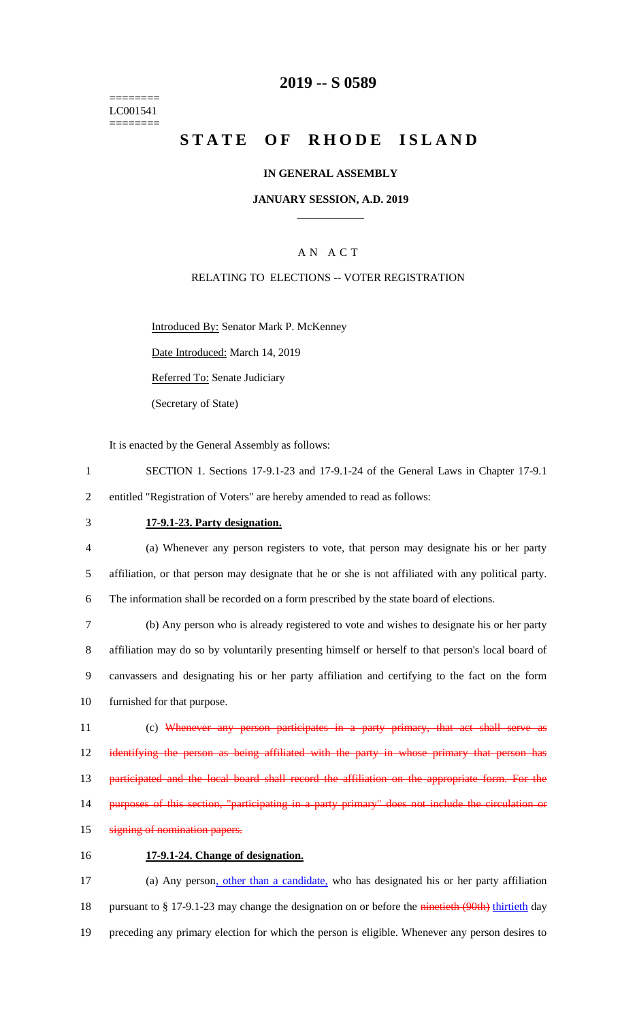======== LC001541 ========

### **2019 -- S 0589**

# **STATE OF RHODE ISLAND**

#### **IN GENERAL ASSEMBLY**

#### **JANUARY SESSION, A.D. 2019 \_\_\_\_\_\_\_\_\_\_\_\_**

### A N A C T

#### RELATING TO ELECTIONS -- VOTER REGISTRATION

Introduced By: Senator Mark P. McKenney

Date Introduced: March 14, 2019

Referred To: Senate Judiciary

(Secretary of State)

It is enacted by the General Assembly as follows:

- 1 SECTION 1. Sections 17-9.1-23 and 17-9.1-24 of the General Laws in Chapter 17-9.1 2 entitled "Registration of Voters" are hereby amended to read as follows:
- 

#### 3 **17-9.1-23. Party designation.**

4 (a) Whenever any person registers to vote, that person may designate his or her party 5 affiliation, or that person may designate that he or she is not affiliated with any political party. 6 The information shall be recorded on a form prescribed by the state board of elections.

 (b) Any person who is already registered to vote and wishes to designate his or her party affiliation may do so by voluntarily presenting himself or herself to that person's local board of canvassers and designating his or her party affiliation and certifying to the fact on the form furnished for that purpose.

11 (c) Whenever any person participates in a party primary, that act shall serve as 12 identifying the person as being affiliated with the party in whose primary that person has 13 participated and the local board shall record the affiliation on the appropriate form. For the 14 purposes of this section, "participating in a party primary" does not include the circulation or

- 15 signing of nomination papers.
- 16 **17-9.1-24. Change of designation.**

17 (a) Any person, other than a candidate, who has designated his or her party affiliation 18 pursuant to § 17-9.1-23 may change the designation on or before the ninetieth (90th) thirtieth day 19 preceding any primary election for which the person is eligible. Whenever any person desires to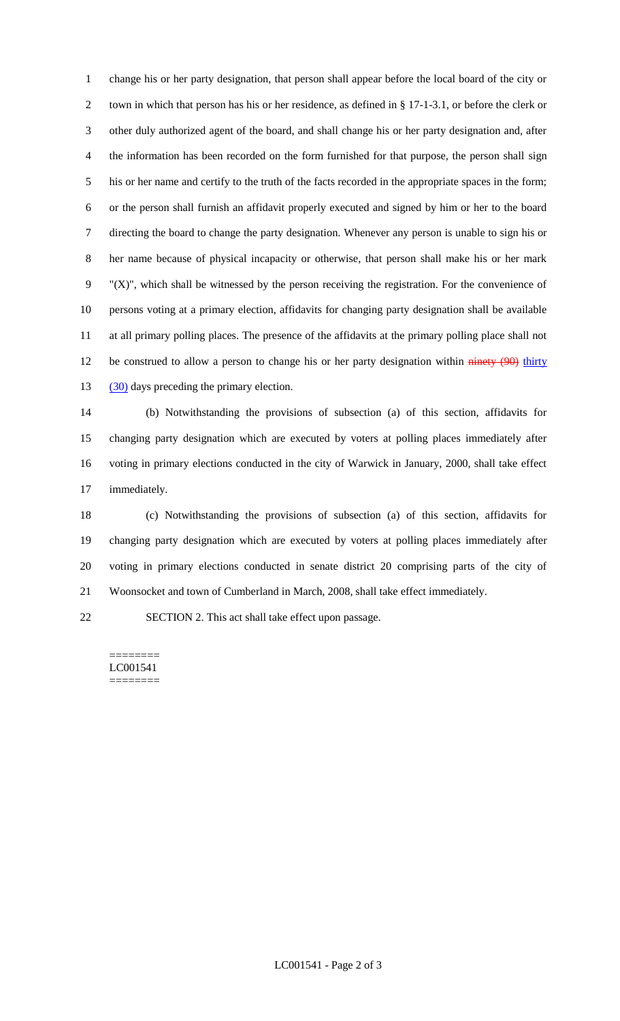change his or her party designation, that person shall appear before the local board of the city or town in which that person has his or her residence, as defined in § 17-1-3.1, or before the clerk or other duly authorized agent of the board, and shall change his or her party designation and, after the information has been recorded on the form furnished for that purpose, the person shall sign his or her name and certify to the truth of the facts recorded in the appropriate spaces in the form; or the person shall furnish an affidavit properly executed and signed by him or her to the board directing the board to change the party designation. Whenever any person is unable to sign his or her name because of physical incapacity or otherwise, that person shall make his or her mark "(X)", which shall be witnessed by the person receiving the registration. For the convenience of persons voting at a primary election, affidavits for changing party designation shall be available at all primary polling places. The presence of the affidavits at the primary polling place shall not 12 be construed to allow a person to change his or her party designation within ninety (90) thirty 13 (30) days preceding the primary election.

 (b) Notwithstanding the provisions of subsection (a) of this section, affidavits for changing party designation which are executed by voters at polling places immediately after voting in primary elections conducted in the city of Warwick in January, 2000, shall take effect immediately.

 (c) Notwithstanding the provisions of subsection (a) of this section, affidavits for changing party designation which are executed by voters at polling places immediately after voting in primary elections conducted in senate district 20 comprising parts of the city of Woonsocket and town of Cumberland in March, 2008, shall take effect immediately.

SECTION 2. This act shall take effect upon passage.

======== LC001541 ========